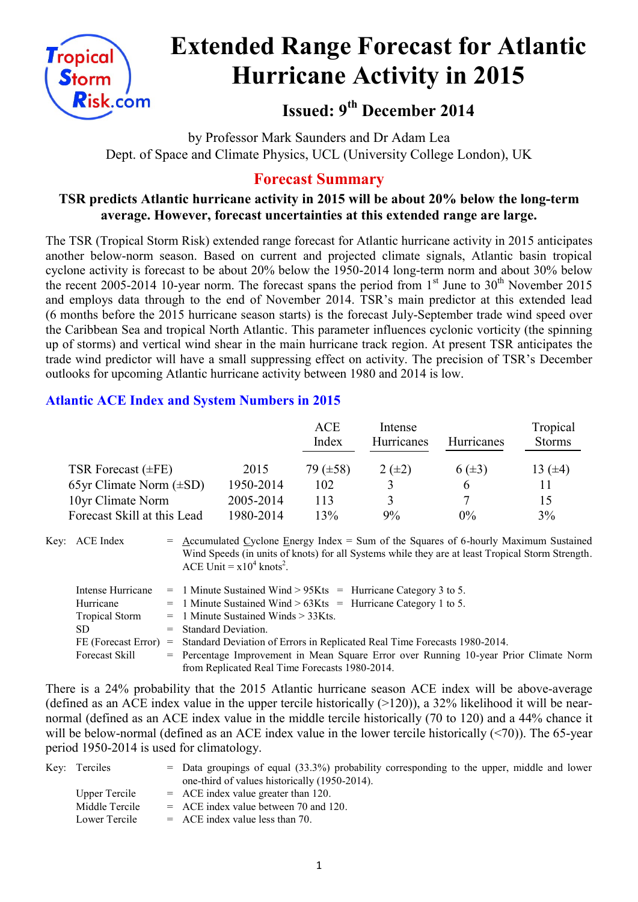

# **Extended Range Forecast for Atlantic Hurricane Activity in 2015**

**Issued: 9th December 2014**

by Professor Mark Saunders and Dr Adam Lea Dept. of Space and Climate Physics, UCL (University College London), UK

# **Forecast Summary**

## **TSR predicts Atlantic hurricane activity in 2015 will be about 20% below the long-term average. However, forecast uncertainties at this extended range are large.**

The TSR (Tropical Storm Risk) extended range forecast for Atlantic hurricane activity in 2015 anticipates another below-norm season. Based on current and projected climate signals, Atlantic basin tropical cyclone activity is forecast to be about 20% below the 1950-2014 long-term norm and about 30% below the recent 2005-2014 10-year norm. The forecast spans the period from  $1<sup>st</sup>$  June to  $30<sup>th</sup>$  November 2015 and employs data through to the end of November 2014. TSR's main predictor at this extended lead (6 months before the 2015 hurricane season starts) is the forecast July-September trade wind speed over the Caribbean Sea and tropical North Atlantic. This parameter influences cyclonic vorticity (the spinning up of storms) and vertical wind shear in the main hurricane track region. At present TSR anticipates the trade wind predictor will have a small suppressing effect on activity. The precision of TSR's December outlooks for upcoming Atlantic hurricane activity between 1980 and 2014 is low.

## **Atlantic ACE Index and System Numbers in 2015**

|                              |           | <b>ACE</b><br>Index | Intense<br>Hurricanes | <b>Hurricanes</b> | Tropical<br><b>Storms</b> |
|------------------------------|-----------|---------------------|-----------------------|-------------------|---------------------------|
| TSR Forecast $(\pm FE)$      | 2015      | 79 (±58)            | $2(\pm 2)$            | $6(\pm 3)$        | 13 $(±4)$                 |
| 65yr Climate Norm $(\pm SD)$ | 1950-2014 | 102                 |                       | <sub>t</sub>      | 11                        |
| 10yr Climate Norm            | 2005-2014 | 113                 | $\mathbf{R}$          | 7                 | 15                        |
| Forecast Skill at this Lead  | 1980-2014 | 13%                 | 9%                    | $0\%$             | 3%                        |

Key: ACE Index  $=$  Accumulated Cyclone Energy Index = Sum of the Squares of 6-hourly Maximum Sustained Wind Speeds (in units of knots) for all Systems while they are at least Tropical Storm Strength. ACE Unit =  $x10^4$  knots<sup>2</sup>.

| Intense Hurricane     | $=$ 1 Minute Sustained Wind > 95Kts $=$ Hurricane Category 3 to 5.                              |
|-----------------------|-------------------------------------------------------------------------------------------------|
| Hurricane             | $=$ 1 Minute Sustained Wind > 63Kts = Hurricane Category 1 to 5.                                |
| <b>Tropical Storm</b> | $=$ 1 Minute Sustained Winds $>$ 33Kts.                                                         |
| SD.                   | $=$ Standard Deviation.                                                                         |
|                       | FE (Forecast Error) = Standard Deviation of Errors in Replicated Real Time Forecasts 1980-2014. |
| Forecast Skill        | = Percentage Improvement in Mean Square Error over Running 10-year Prior Climate Norm           |
|                       | from Replicated Real Time Forecasts 1980-2014.                                                  |

There is a 24% probability that the 2015 Atlantic hurricane season ACE index will be above-average (defined as an ACE index value in the upper tercile historically  $(>120)$ ), a 32% likelihood it will be nearnormal (defined as an ACE index value in the middle tercile historically (70 to 120) and a 44% chance it will be below-normal (defined as an ACE index value in the lower tercile historically (<70)). The 65-year period 1950-2014 is used for climatology.

| Key: Terciles  | $=$ Data groupings of equal (33.3%) probability corresponding to the upper, middle and lower |
|----------------|----------------------------------------------------------------------------------------------|
|                | one-third of values historically (1950-2014).                                                |
| Upper Tercile  | $=$ ACE index value greater than 120.                                                        |
| Middle Tercile | $=$ ACE index value between 70 and 120.                                                      |
| Lower Tercile  | $=$ ACE index value less than 70.                                                            |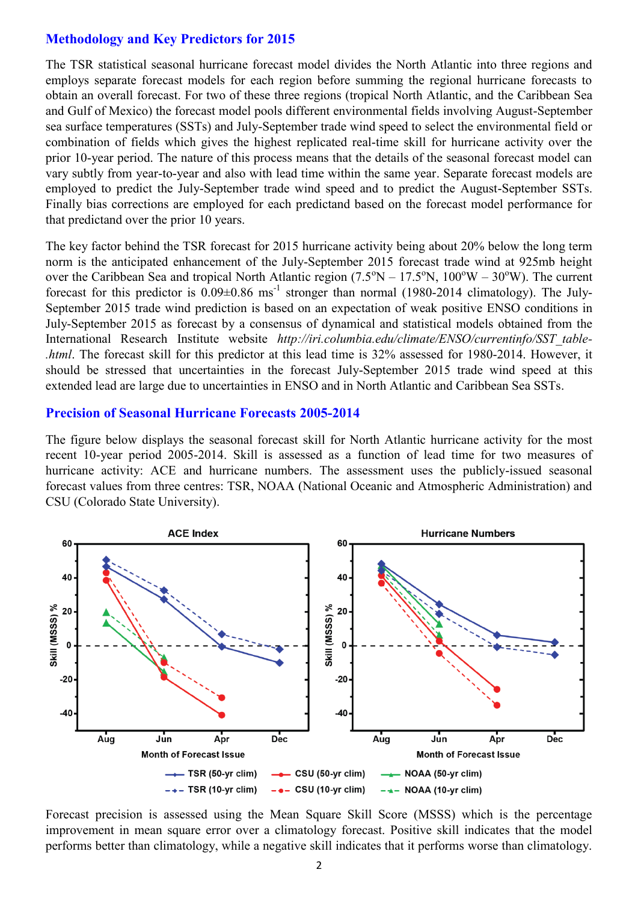#### **Methodology and Key Predictors for 2015**

The TSR statistical seasonal hurricane forecast model divides the North Atlantic into three regions and employs separate forecast models for each region before summing the regional hurricane forecasts to obtain an overall forecast. For two of these three regions (tropical North Atlantic, and the Caribbean Sea and Gulf of Mexico) the forecast model pools different environmental fields involving August-September sea surface temperatures (SSTs) and July-September trade wind speed to select the environmental field or combination of fields which gives the highest replicated real-time skill for hurricane activity over the prior 10-year period. The nature of this process means that the details of the seasonal forecast model can vary subtly from year-to-year and also with lead time within the same year. Separate forecast models are employed to predict the July-September trade wind speed and to predict the August-September SSTs. Finally bias corrections are employed for each predictand based on the forecast model performance for that predictand over the prior 10 years.

The key factor behind the TSR forecast for 2015 hurricane activity being about 20% below the long term norm is the anticipated enhancement of the July-September 2015 forecast trade wind at 925mb height over the Caribbean Sea and tropical North Atlantic region  $(7.5^{\circ}N - 17.5^{\circ}N, 100^{\circ}W - 30^{\circ}W)$ . The current forecast for this predictor is  $0.09 \pm 0.86$  ms<sup>-1</sup> stronger than normal (1980-2014 climatology). The July-September 2015 trade wind prediction is based on an expectation of weak positive ENSO conditions in July-September 2015 as forecast by a consensus of dynamical and statistical models obtained from the International Research Institute website *http://iri.columbia.edu/climate/ENSO/currentinfo/SST\_table- .html*. The forecast skill for this predictor at this lead time is 32% assessed for 1980-2014. However, it should be stressed that uncertainties in the forecast July-September 2015 trade wind speed at this extended lead are large due to uncertainties in ENSO and in North Atlantic and Caribbean Sea SSTs.

#### **Precision of Seasonal Hurricane Forecasts 2005-2014**

The figure below displays the seasonal forecast skill for North Atlantic hurricane activity for the most recent 10-year period 2005-2014. Skill is assessed as a function of lead time for two measures of hurricane activity: ACE and hurricane numbers. The assessment uses the publicly-issued seasonal forecast values from three centres: TSR, NOAA (National Oceanic and Atmospheric Administration) and CSU (Colorado State University).



Forecast precision is assessed using the Mean Square Skill Score (MSSS) which is the percentage improvement in mean square error over a climatology forecast. Positive skill indicates that the model performs better than climatology, while a negative skill indicates that it performs worse than climatology.